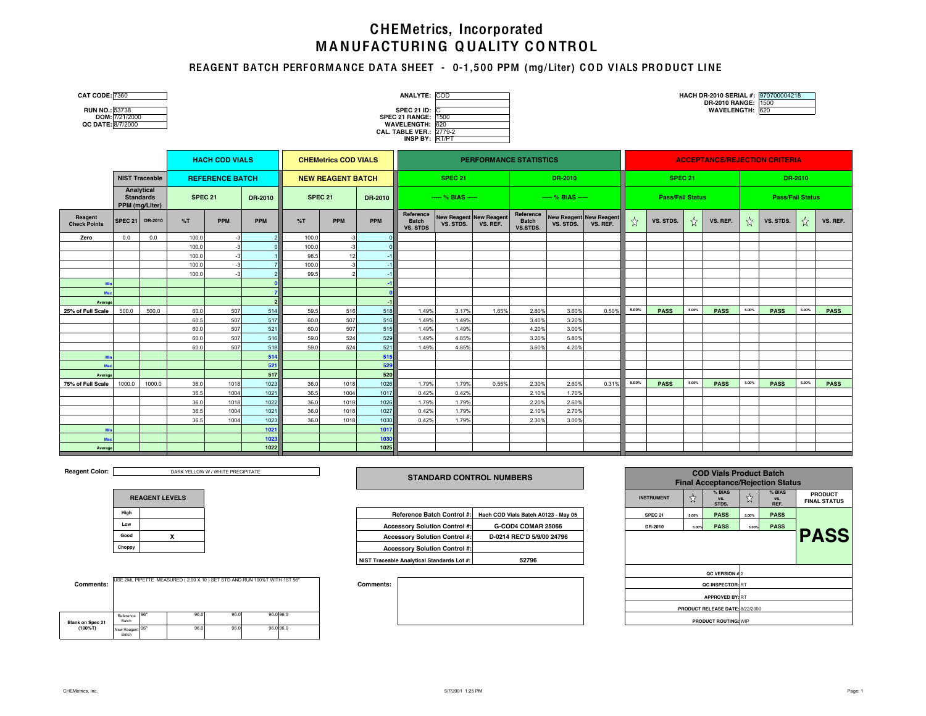# MANUFACTURING QUALITY CONTROL CHEMetrics, Incorporated

### REAGENT BATCH PERFORM ANCE DATA SHEET - 0-1,500 PPM (mg/Liter) COD VIALS PRODUCT LINE

| <b>RUN NO.: 53738</b> |                       |
|-----------------------|-----------------------|
|                       | <b>DOM.</b> 7/34/3000 |

|                   | DOM: 7/21/2000 |
|-------------------|----------------|
| QC DATE: 8/7/2000 |                |

| <b>CAT CODE: 7360</b> | <b>ANALYTE: COD</b>            | HACH DR-2010 SERIAL #: 970700004218 |  |
|-----------------------|--------------------------------|-------------------------------------|--|
|                       |                                | DR-2010 RANGE: 1500                 |  |
| <b>RUN NO.: 53738</b> | <b>SPEC 21 ID: 10</b>          | <b>WAVELENGTH: 620</b>              |  |
| DOM: 7/21/2000        | <b>SPEC 21 RANGE: 1500</b>     |                                     |  |
| QC DATE: 8/7/2000     | WAVELENGTH: 620                |                                     |  |
|                       | <b>CAL. TABLE VER.: 2779-2</b> |                                     |  |
|                       | <b>INSP BY: RT/PT</b>          |                                     |  |
|                       |                                |                                     |  |

|                                |                                    |                       |       | <b>HACH COD VIALS</b>  |            |                           | <b>CHEMetrics COD VIALS</b> |            |                                              |                                             |                 | <b>PERFORMANCE STATISTICS</b>         |                                             | <b>ACCEPTANCE/REJECTION CRITERIA</b> |       |                    |       |                         |       |             |         |             |  |  |  |
|--------------------------------|------------------------------------|-----------------------|-------|------------------------|------------|---------------------------|-----------------------------|------------|----------------------------------------------|---------------------------------------------|-----------------|---------------------------------------|---------------------------------------------|--------------------------------------|-------|--------------------|-------|-------------------------|-------|-------------|---------|-------------|--|--|--|
|                                |                                    | <b>NIST Traceable</b> |       | <b>REFERENCE BATCH</b> |            |                           | <b>NEW REAGENT BATCH</b>    |            |                                              | <b>SPEC 21</b>                              |                 |                                       | DR-2010                                     |                                      |       | SPEC <sub>21</sub> |       |                         |       |             | DR-2010 |             |  |  |  |
|                                | <b>Standards</b><br>PPM (mg/Liter) | Analytical            |       | SPEC 21<br>DR-2010     |            | <b>SPEC 21</b><br>DR-2010 |                             |            | $--$ % BIAS $--$                             |                                             | $-- % BIAS ---$ |                                       |                                             | <b>Pass/Fail Status</b>              |       |                    |       | <b>Pass/Fail Status</b> |       |             |         |             |  |  |  |
| Reagent<br><b>Check Points</b> | <b>SPEC 21</b>                     | DR-2010               | %T    | <b>PPM</b>             | <b>PPM</b> | %T                        | <b>PPM</b>                  | <b>PPM</b> | Reference<br><b>Batch</b><br><b>VS. STDS</b> | <b>New Reagent New Reagent</b><br>VS. STDS. | VS. REF.        | Reference<br><b>Batch</b><br>VS.STDS. | <b>New Reagent New Reagent</b><br>VS. STDS. | VS. REF.                             | ☆     | VS. STDS.          | ☆     | VS. REF.                | ☆     | VS. STDS.   | ☆       | VS. REF.    |  |  |  |
| Zero                           | 0.0                                | 0.0                   | 100.0 |                        |            | 100.0                     |                             |            |                                              |                                             |                 |                                       |                                             |                                      |       |                    |       |                         |       |             |         |             |  |  |  |
|                                |                                    |                       | 100.0 |                        |            | 100.0                     |                             |            |                                              |                                             |                 |                                       |                                             |                                      |       |                    |       |                         |       |             |         |             |  |  |  |
|                                |                                    |                       | 100.0 |                        |            | 98.5                      | 12                          |            |                                              |                                             |                 |                                       |                                             |                                      |       |                    |       |                         |       |             |         |             |  |  |  |
|                                |                                    |                       | 100.0 |                        |            | 100.0                     |                             |            |                                              |                                             |                 |                                       |                                             |                                      |       |                    |       |                         |       |             |         |             |  |  |  |
|                                |                                    |                       | 100.0 |                        |            | 99.5                      |                             |            |                                              |                                             |                 |                                       |                                             |                                      |       |                    |       |                         |       |             |         |             |  |  |  |
| Mi                             |                                    |                       |       |                        |            |                           |                             |            |                                              |                                             |                 |                                       |                                             |                                      |       |                    |       |                         |       |             |         |             |  |  |  |
| Max                            |                                    |                       |       |                        |            |                           |                             |            |                                              |                                             |                 |                                       |                                             |                                      |       |                    |       |                         |       |             |         |             |  |  |  |
| Average                        |                                    |                       |       |                        |            |                           |                             |            |                                              |                                             |                 |                                       |                                             |                                      |       |                    |       |                         |       |             |         |             |  |  |  |
| 25% of Full Scale              | 500.0                              | 500.0                 | 60.0  | 507                    | 514        | 59.5                      | 516                         | 518        | 1.49%                                        | 3.17%                                       | 1.65%           | 2.80%                                 | 3.60%                                       | 0.50%                                | 5.00% | <b>PASS</b>        | 5.00% | <b>PASS</b>             | 5.00% | <b>PASS</b> | 5.00%   | <b>PASS</b> |  |  |  |
|                                |                                    |                       | 60.5  | 507                    | 517        | 60.0                      | 507                         | 516        | 1.49%                                        | 1.49%                                       |                 | 3.40%                                 | 3.20%                                       |                                      |       |                    |       |                         |       |             |         |             |  |  |  |
|                                |                                    |                       | 60.0  | 507                    | 521        | 60.0                      | 507                         | 515        | 1.49%                                        | 1.49%                                       |                 | 4.20%                                 | 3.00%                                       |                                      |       |                    |       |                         |       |             |         |             |  |  |  |
|                                |                                    |                       | 60.0  | 507                    | 516        | 59.0                      | 524                         | 529        | 1.49%                                        | 4.85%                                       |                 | 3.20%                                 | 5.80%                                       |                                      |       |                    |       |                         |       |             |         |             |  |  |  |
|                                |                                    |                       | 60.0  | 507                    | 518        | 59.0                      | 524                         | 521        | 1.49%                                        | 4.85%                                       |                 | 3.60%                                 | 4.20%                                       |                                      |       |                    |       |                         |       |             |         |             |  |  |  |
| M                              |                                    |                       |       |                        | 514        |                           |                             | 515        |                                              |                                             |                 |                                       |                                             |                                      |       |                    |       |                         |       |             |         |             |  |  |  |
| Max                            |                                    |                       |       |                        | 521        |                           |                             | 529        |                                              |                                             |                 |                                       |                                             |                                      |       |                    |       |                         |       |             |         |             |  |  |  |
| Average                        |                                    |                       |       |                        | 517        |                           |                             | 520        |                                              |                                             |                 |                                       |                                             |                                      |       |                    |       |                         |       |             |         |             |  |  |  |
| 75% of Full Scale              | 1000.0                             | 1000.0                | 36.0  | 1018                   | 1023       | 36.0                      | 1018                        | 1026       | 1.79%                                        | 1.79%                                       | 0.55%           | 2.30%                                 | 2.60%                                       | 0.31%                                | 5.00% | <b>PASS</b>        | 5.00% | <b>PASS</b>             | 5.00% | <b>PASS</b> | 5.00%   | <b>PASS</b> |  |  |  |
|                                |                                    |                       | 36.5  | 1004                   | 1021       | 36.5                      | 1004                        | 1017       | 0.42%                                        | 0.42%                                       |                 | 2.10%                                 | 1.70%                                       |                                      |       |                    |       |                         |       |             |         |             |  |  |  |
|                                |                                    |                       | 36.0  | 1018                   | 1022       | 36.0                      | 1018                        | 1026       | 1.79%                                        | 1.79%                                       |                 | 2.20%                                 | 2.60%                                       |                                      |       |                    |       |                         |       |             |         |             |  |  |  |
|                                |                                    |                       | 36.5  | 1004                   | 1021       | 36.0                      | 1018                        | 1027       | 0.42%                                        | 1.79%                                       |                 | 2.10%                                 | 2.70%                                       |                                      |       |                    |       |                         |       |             |         |             |  |  |  |
|                                |                                    |                       | 36.5  | 1004                   | 1023       | 36.0                      | 1018                        | 1030       | 0.42%                                        | 1.79%                                       |                 | 2.30%                                 | 3.00%                                       |                                      |       |                    |       |                         |       |             |         |             |  |  |  |
| M                              |                                    |                       |       |                        | 1021       |                           |                             | 1017       |                                              |                                             |                 |                                       |                                             |                                      |       |                    |       |                         |       |             |         |             |  |  |  |
| Max                            |                                    |                       |       |                        | 1023       |                           |                             | 1030       |                                              |                                             |                 |                                       |                                             |                                      |       |                    |       |                         |       |             |         |             |  |  |  |
| Average                        |                                    |                       |       |                        | 1022       |                           |                             | 1025       |                                              |                                             |                 |                                       |                                             |                                      |       |                    |       |                         |       |             |         |             |  |  |  |

**Reagent Color:** 

DARK YELLOW W / WHITE PRECIPITATE

| <b>REAGENT LEVELS</b> |  |  |  |  |  |  |  |  |  |
|-----------------------|--|--|--|--|--|--|--|--|--|
| High                  |  |  |  |  |  |  |  |  |  |
| Low                   |  |  |  |  |  |  |  |  |  |
| Good                  |  |  |  |  |  |  |  |  |  |
| Choppy                |  |  |  |  |  |  |  |  |  |

| <b>Comments:</b>        |                      |       |      | USE 2ML PIPETTE MEASURED (2.00 X 10) SET STD AND RUN 100%T WITH 1ST 96* |           |  |
|-------------------------|----------------------|-------|------|-------------------------------------------------------------------------|-----------|--|
| <b>Blank on Spec 21</b> | Reference<br>Batch   | 96*   | 96.0 | 96.0                                                                    | 96.0 96.0 |  |
| $(100\%T)$              | New Reagent<br>Batch | . 96* | 96.0 | 96.0                                                                    | 96.0 96.0 |  |

| <b>STANDARD CONTROL NUMBERS</b> |  |
|---------------------------------|--|
|                                 |  |

|       |  |                                            |                                                                |                    |       | -----       |       |             |
|-------|--|--------------------------------------------|----------------------------------------------------------------|--------------------|-------|-------------|-------|-------------|
| Hiah  |  |                                            | Reference Batch Control #: Hach COD Vials Batch A0123 - May 05 | SPEC <sub>21</sub> | 5.00% | <b>PASS</b> | 5,00% | <b>PASS</b> |
| Low   |  | <b>Accessory Solution Control #:</b>       | G-COD4 COMAR 25066                                             | DR-2010            | 5.00% | <b>PASS</b> | 5.00% | <b>PASS</b> |
| boost |  | <b>Accessory Solution Control #:</b>       | D-0214 REC'D 5/9/00 24796                                      |                    |       |             |       |             |
| hoppy |  | <b>Accessory Solution Control #:</b>       |                                                                |                    |       |             |       |             |
|       |  | NIST Traceable Analytical Standards Lot #: | 52796                                                          |                    |       |             |       |             |



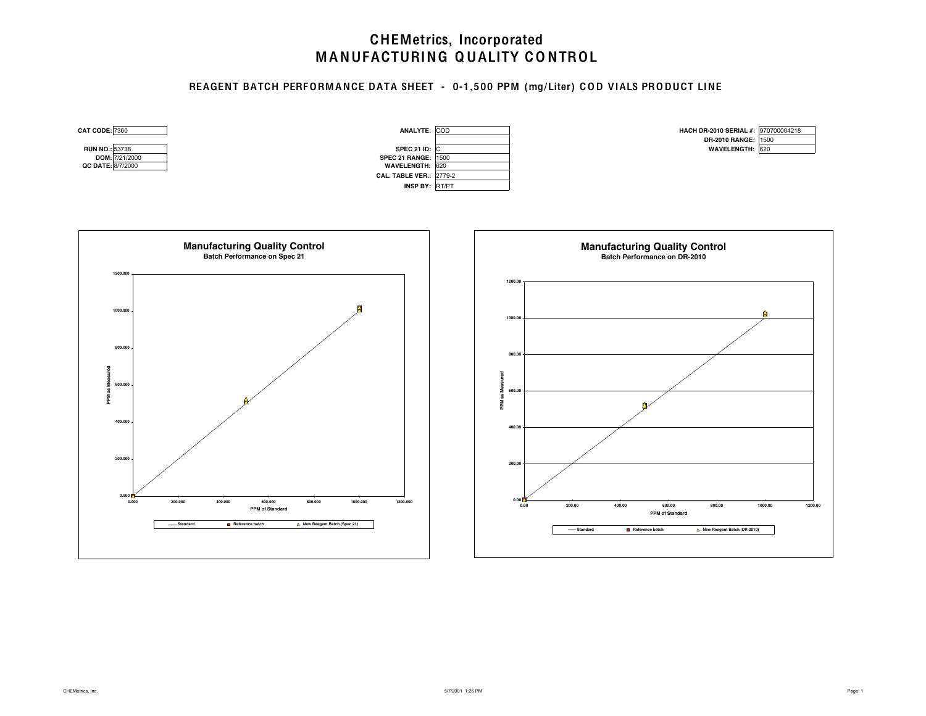### REAGENT BATCH PERFORM ANCE DATA SHEET - 0-1,500 PPM (mg/Liter) COD VIALS PRODUCT LINE

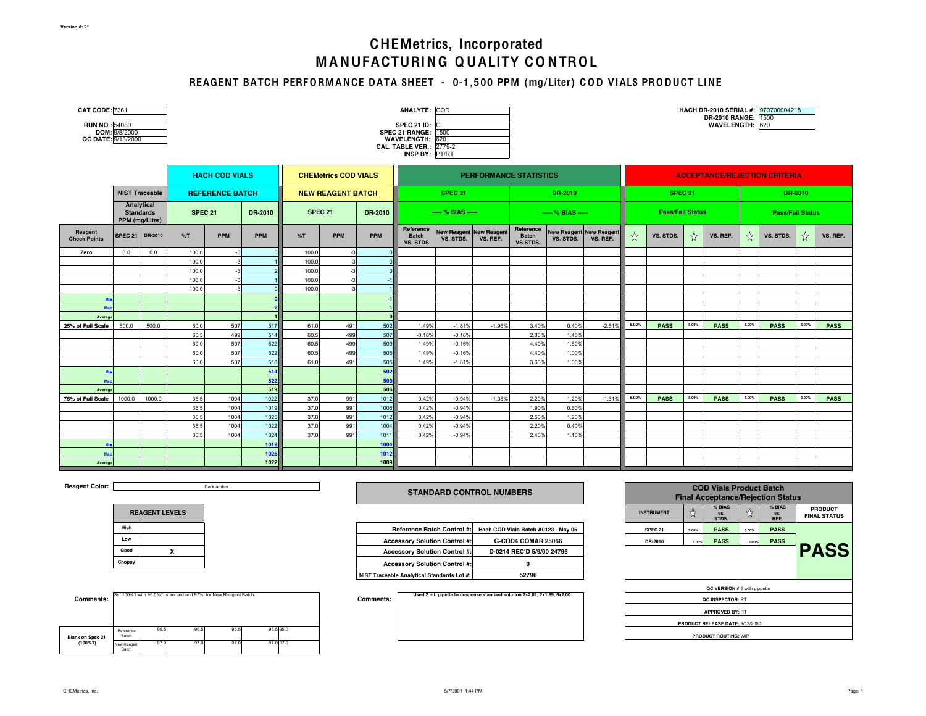### REAGENT BATCH PERFORM ANCE DATA SHEET - 0-1,500 PPM (mg/Liter) COD VIALS PRODUCT LINE

| <b>CAT CODE: 7361</b><br><b>RUN NO.: 54080</b><br>QC DATE: 9/13/2000 | DOM: 9/8/2000  |                                |                |                        |            |                |                             |            | ANALYTE: COD<br><b>SPEC 21 ID: C</b><br><b>SPEC 21 RANGE: 1500</b><br>WAVELENGTH: 620<br><b>CAL. TABLE VER.: 2779-2</b><br>INSP BY: PT/RT |                                             |          |                                       |                                            |                                            |                                      |                    |       | HACH DR-2010 SERIAL #: 970700004218<br>DR-2010 RANGE: 1500<br>WAVELENGTH: 620 |                         |             |       |             |  |
|----------------------------------------------------------------------|----------------|--------------------------------|----------------|------------------------|------------|----------------|-----------------------------|------------|-------------------------------------------------------------------------------------------------------------------------------------------|---------------------------------------------|----------|---------------------------------------|--------------------------------------------|--------------------------------------------|--------------------------------------|--------------------|-------|-------------------------------------------------------------------------------|-------------------------|-------------|-------|-------------|--|
|                                                                      |                |                                |                | <b>HACH COD VIALS</b>  |            |                | <b>CHEMetrics COD VIALS</b> |            | <b>PERFORMANCE STATISTICS</b>                                                                                                             |                                             |          |                                       |                                            |                                            | <b>ACCEPTANCE/REJECTION CRITERIA</b> |                    |       |                                                                               |                         |             |       |             |  |
|                                                                      |                | <b>NIST Traceable</b>          |                | <b>REFERENCE BATCH</b> |            |                | <b>NEW REAGENT BATCH</b>    |            |                                                                                                                                           | <b>SPEC 21</b>                              |          |                                       | DR-2010                                    |                                            |                                      | SPEC <sub>21</sub> |       |                                                                               | DR-2010                 |             |       |             |  |
|                                                                      | PPM (mg/Liter) | Analytical<br><b>Standards</b> | <b>SPEC 21</b> |                        | DR-2010    | <b>SPEC 21</b> |                             | DR-2010    |                                                                                                                                           | ---- % BIAS -----                           |          |                                       | $-- % BIAS ---$<br><b>Pass/Fail Status</b> |                                            |                                      |                    |       |                                                                               | <b>Pass/Fail Status</b> |             |       |             |  |
| Reagent<br><b>Check Points</b>                                       | <b>SPEC 21</b> | DR-2010                        | %T             | <b>PPM</b>             | <b>PPM</b> | %T             | <b>PPM</b>                  | <b>PPM</b> | Reference<br><b>Batch</b><br><b>VS. STDS</b>                                                                                              | <b>New Reagent New Reagent</b><br>VS. STDS. | VS. REF. | Reference<br><b>Batch</b><br>VS.STDS. | VS. STDS.                                  | <b>New Reagent New Reagent</b><br>VS. REF. | $\frac{\lambda}{M}$                  | VS. STDS.          | ☆     | VS. REF.                                                                      | ☆                       | VS. STDS.   | ☆     | VS. REF.    |  |
| Zero                                                                 | 0.0            | 0.0                            | 100.0          | $-3$                   |            | 100.0          | $-3$                        |            |                                                                                                                                           |                                             |          |                                       |                                            |                                            |                                      |                    |       |                                                                               |                         |             |       |             |  |
|                                                                      |                |                                | 100.0          | $-3$                   |            | 100.0          | $-3$                        |            |                                                                                                                                           |                                             |          |                                       |                                            |                                            |                                      |                    |       |                                                                               |                         |             |       |             |  |
|                                                                      |                |                                | 100.0          | $-3$                   |            | 100.0          | $-3$                        |            |                                                                                                                                           |                                             |          |                                       |                                            |                                            |                                      |                    |       |                                                                               |                         |             |       |             |  |
|                                                                      |                |                                | 100.0          | $-3$                   |            | 100.0          | $-3$                        |            |                                                                                                                                           |                                             |          |                                       |                                            |                                            |                                      |                    |       |                                                                               |                         |             |       |             |  |
|                                                                      |                |                                | 100.0          | $-3$                   |            | 100.0          |                             |            |                                                                                                                                           |                                             |          |                                       |                                            |                                            |                                      |                    |       |                                                                               |                         |             |       |             |  |
|                                                                      |                |                                |                |                        |            |                |                             |            |                                                                                                                                           |                                             |          |                                       |                                            |                                            |                                      |                    |       |                                                                               |                         |             |       |             |  |
| Ma                                                                   |                |                                |                |                        |            |                |                             |            |                                                                                                                                           |                                             |          |                                       |                                            |                                            |                                      |                    |       |                                                                               |                         |             |       |             |  |
| Average                                                              | 500.0          |                                | 60.0           | 507                    |            | 61.0           |                             |            | 1.49%                                                                                                                                     |                                             | $-1.96%$ | 3.40%                                 | 0.40%                                      | $-2.51%$                                   | 5.00%                                | <b>PASS</b>        | 5.00% |                                                                               | 5.00%                   | <b>PASS</b> | 5.00% | <b>PASS</b> |  |
| 25% of Full Scale                                                    |                | 500.0                          | 60.5           | 499                    | 517<br>514 | 60.5           | 491<br>499                  | 502<br>507 | $-0.16%$                                                                                                                                  | $-1.81%$<br>$-0.16%$                        |          | 2.80%                                 | 1.40%                                      |                                            |                                      |                    |       | <b>PASS</b>                                                                   |                         |             |       |             |  |
|                                                                      |                |                                | 60.0           | 507                    | 522        | 60.5           | 499                         | 509        | 1.49%                                                                                                                                     | $-0.16%$                                    |          | 4.40%                                 | 1.80%                                      |                                            |                                      |                    |       |                                                                               |                         |             |       |             |  |
|                                                                      |                |                                | 60.0           | 507                    | 522        | 60.5           | 499                         | 505        | 1.49%                                                                                                                                     | $-0.16%$                                    |          | 4.40%                                 | 1.00%                                      |                                            |                                      |                    |       |                                                                               |                         |             |       |             |  |
|                                                                      |                |                                | 60.0           | 507                    | 518        | 61.0           | 491                         | 505        | 1.49%                                                                                                                                     | $-1.81%$                                    |          | 3.60%                                 | 1.00%                                      |                                            |                                      |                    |       |                                                                               |                         |             |       |             |  |
|                                                                      |                |                                |                |                        | 514        |                |                             | 502        |                                                                                                                                           |                                             |          |                                       |                                            |                                            |                                      |                    |       |                                                                               |                         |             |       |             |  |
| Ma                                                                   |                |                                |                |                        | 522        |                |                             | 509        |                                                                                                                                           |                                             |          |                                       |                                            |                                            |                                      |                    |       |                                                                               |                         |             |       |             |  |
| Average                                                              |                |                                |                |                        | 519        |                |                             | 506        |                                                                                                                                           |                                             |          |                                       |                                            |                                            |                                      |                    |       |                                                                               |                         |             |       |             |  |
| 75% of Full Scale                                                    | 1000.0         | 1000.0                         | 36.5           | 1004                   | 1022       | 37.0           | 991                         | 1012       | 0.42%                                                                                                                                     | $-0.94%$                                    | $-1.35%$ | 2.20%                                 | 1.20%                                      | $-1.31%$                                   | 5.00%                                | <b>PASS</b>        | 5.00% | <b>PASS</b>                                                                   | 5.00%                   | <b>PASS</b> | 5.00% | <b>PASS</b> |  |
|                                                                      |                |                                | 36.5           | 1004                   | 1019       | 37.0           | 991                         | 1006       | 0.42%                                                                                                                                     | $-0.94%$                                    |          | 1.90%                                 | 0.60%                                      |                                            |                                      |                    |       |                                                                               |                         |             |       |             |  |
|                                                                      |                |                                | 36.5           | 1004                   | 1025       | 37.0           | 991                         | 1012       | 0.42%                                                                                                                                     | $-0.94%$                                    |          | 2.50%                                 | 1.20%                                      |                                            |                                      |                    |       |                                                                               |                         |             |       |             |  |
|                                                                      |                |                                | 36.5           | 1004                   | 1022       | 37.0           | 991                         | 1004       | 0.42%                                                                                                                                     | $-0.94%$                                    |          | 2.20%                                 | 0.40%                                      |                                            |                                      |                    |       |                                                                               |                         |             |       |             |  |
|                                                                      |                |                                | 36.5           | 1004                   | 1024       | 37.0           | 991                         | 1011       | 0.42%                                                                                                                                     | $-0.94%$                                    |          | 2.40%                                 | 1.10%                                      |                                            |                                      |                    |       |                                                                               |                         |             |       |             |  |
|                                                                      |                |                                |                |                        | 1019       |                |                             | 1004       |                                                                                                                                           |                                             |          |                                       |                                            |                                            |                                      |                    |       |                                                                               |                         |             |       |             |  |
| Ma                                                                   |                |                                |                |                        | 1025       |                |                             | 1012       |                                                                                                                                           |                                             |          |                                       |                                            |                                            |                                      |                    |       |                                                                               |                         |             |       |             |  |
| Average                                                              |                |                                |                |                        | 1022       |                |                             | 1009       |                                                                                                                                           |                                             |          |                                       |                                            |                                            |                                      |                    |       |                                                                               |                         |             |       |             |  |

**Reagent Color:** 

Dark amber

|        | <b>REAGENT LEVELS</b> |
|--------|-----------------------|
| High   |                       |
| Low    |                       |
| Good   |                       |
| Choppy |                       |

| Comments:               |                      |      |      | Set 100%T with 95.5%T standard and 97%t for New Reagent Batch. |          |
|-------------------------|----------------------|------|------|----------------------------------------------------------------|----------|
| <b>Blank on Spec 21</b> | Reference<br>Batch   | 95.5 | 95.5 | 95.5                                                           | 95.595.0 |
| $(100\%T)$              | New Reagent<br>Batch | 97.0 | 97.0 | 97.0                                                           | 97.097.0 |

#### **STANDARD CONTROL NUMBERS**

| High  |  |                                            | Reference Batch Control #: Hach COD Vials Batch A0123 - May 05 | SPEC <sub>21</sub> | 5.00% | <b>PASS</b> | 5.00% | <b>PASS</b> |
|-------|--|--------------------------------------------|----------------------------------------------------------------|--------------------|-------|-------------|-------|-------------|
| Low   |  | <b>Accessory Solution Control #:</b>       | G-COD4 COMAR 25066                                             | DR-2010            | 5.00% | <b>PASS</b> | 5.00% | <b>PASS</b> |
| Good  |  | <b>Accessory Solution Control #:</b>       | D-0214 REC'D 5/9/00 24796                                      |                    |       |             |       |             |
| hoppy |  | <b>Accessory Solution Control #:</b>       |                                                                |                    |       |             |       |             |
|       |  | NIST Traceable Analytical Standards Lot #: | 52796                                                          |                    |       |             |       |             |

**Used 2 mL pipette to dospense standard solution 2x2.01, 2x1.99, 6x2.00**

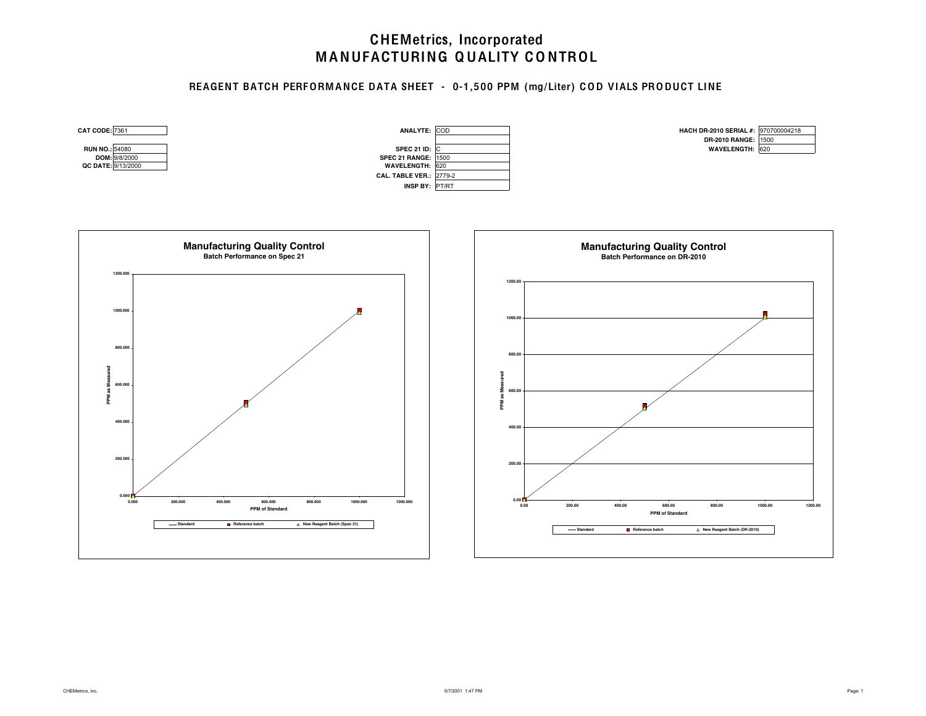### REAGENT BATCH PERFORM ANCE DATA SHEET - 0-1,500 PPM (mg/Liter) COD VIALS PRODUCT LINE

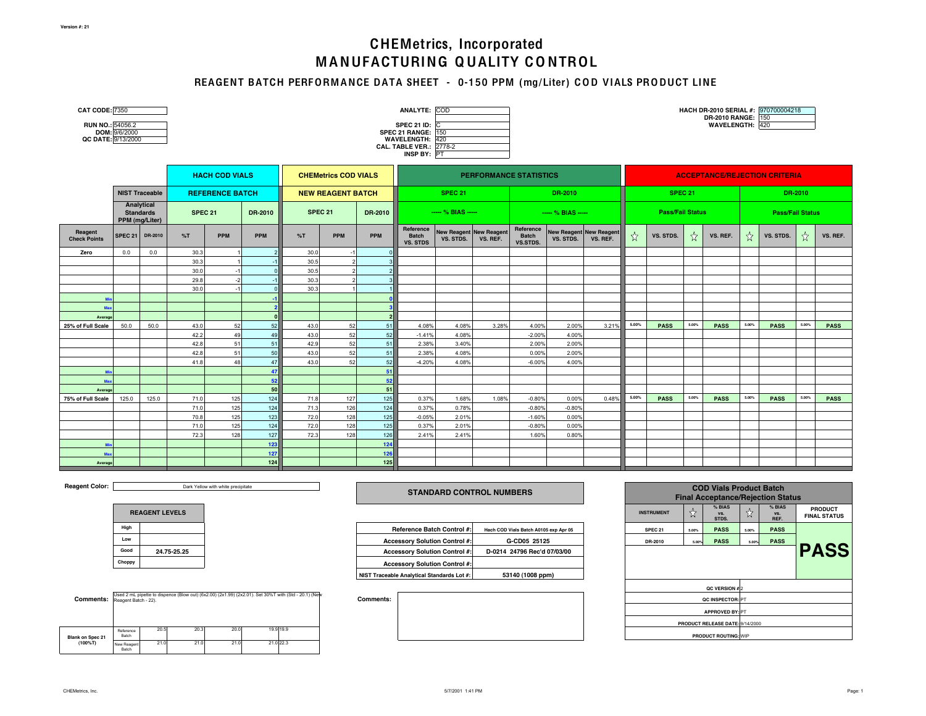### REAGENT BATCH PERFORMANCE DATA SHEET - 0-150 PPM (mg/Liter) COD VIALS PRODUCT LINE

| <b>CAT CODE: 7350</b><br>RUN NO.: 54056.2<br>QC DATE: 9/13/2000 | DOM: 9/6/2000  |                                |                |                        |            |                |                             |            | <b>ANALYTE: COD</b><br><b>SPEC 21 ID:</b> C<br><b>SPEC 21 RANGE: 150</b><br>WAVELENGTH: 420<br><b>CAL. TABLE VER.: 2778-2</b><br>INSP BY: PT |                                             |                               |                                       |                                             |          |       |                         |       | HACH DR-2010 SERIAL #: 970700004218<br>DR-2010 RANGE: 150<br>WAVELENGTH: 420 |       |                         |         |             |
|-----------------------------------------------------------------|----------------|--------------------------------|----------------|------------------------|------------|----------------|-----------------------------|------------|----------------------------------------------------------------------------------------------------------------------------------------------|---------------------------------------------|-------------------------------|---------------------------------------|---------------------------------------------|----------|-------|-------------------------|-------|------------------------------------------------------------------------------|-------|-------------------------|---------|-------------|
|                                                                 |                |                                |                | <b>HACH COD VIALS</b>  |            |                | <b>CHEMetrics COD VIALS</b> |            |                                                                                                                                              |                                             | <b>PERFORMANCE STATISTICS</b> |                                       |                                             |          |       |                         |       | <b>ACCEPTANCE/REJECTION CRITERIA</b>                                         |       |                         |         |             |
|                                                                 |                | <b>NIST Traceable</b>          |                | <b>REFERENCE BATCH</b> |            |                | <b>NEW REAGENT BATCH</b>    |            |                                                                                                                                              | <b>SPEC 21</b>                              |                               |                                       | DR-2010                                     |          |       | <b>SPEC 21</b>          |       |                                                                              |       |                         | DR-2010 |             |
|                                                                 | PPM (mg/Liter) | Analytical<br><b>Standards</b> | <b>SPEC 21</b> |                        | DR-2010    | <b>SPEC 21</b> |                             | DR-2010    |                                                                                                                                              | ---- % BIAS -----                           |                               |                                       | $-$ % BIAS $-$                              |          |       | <b>Pass/Fail Status</b> |       |                                                                              |       | <b>Pass/Fail Status</b> |         |             |
| Reagent<br><b>Check Points</b>                                  | <b>SPEC 21</b> | DR-2010                        | %T             | <b>PPM</b>             | PPM        | %T             | <b>PPM</b>                  | PPM        | Reference<br><b>Batch</b><br><b>VS. STDS</b>                                                                                                 | <b>New Reagent New Reagent</b><br>VS. STDS. | VS. REF.                      | Reference<br><b>Batch</b><br>VS.STDS. | <b>New Reagent New Reagent</b><br>VS. STDS. | VS. REF. | $x^4$ | VS. STDS.               | ☆     | VS. REF.                                                                     | ☆     | VS. STDS.               | ☆       | VS. REF.    |
| Zero                                                            | 0.0            | 0.0                            | 30.3           |                        |            | 30.0           |                             |            |                                                                                                                                              |                                             |                               |                                       |                                             |          |       |                         |       |                                                                              |       |                         |         |             |
|                                                                 |                |                                | 30.3           |                        |            | 30.5           |                             |            |                                                                                                                                              |                                             |                               |                                       |                                             |          |       |                         |       |                                                                              |       |                         |         |             |
|                                                                 |                |                                | 30.0<br>29.8   | $-1$<br>$-2$           |            | 30.5<br>30.3   |                             |            |                                                                                                                                              |                                             |                               |                                       |                                             |          |       |                         |       |                                                                              |       |                         |         |             |
|                                                                 |                |                                | 30.0           | $-1$                   |            | 30.3           |                             |            |                                                                                                                                              |                                             |                               |                                       |                                             |          |       |                         |       |                                                                              |       |                         |         |             |
|                                                                 |                |                                |                |                        |            |                |                             |            |                                                                                                                                              |                                             |                               |                                       |                                             |          |       |                         |       |                                                                              |       |                         |         |             |
| Mo                                                              |                |                                |                |                        |            |                |                             |            |                                                                                                                                              |                                             |                               |                                       |                                             |          |       |                         |       |                                                                              |       |                         |         |             |
| Average                                                         |                |                                |                |                        |            |                |                             |            |                                                                                                                                              |                                             |                               |                                       |                                             |          |       |                         |       |                                                                              |       |                         |         |             |
| 25% of Full Scale                                               | 50.0           | 50.0                           | 43.0           | 52                     | 52         | 43.0           | 52                          | 51         | 4.08%                                                                                                                                        | 4.08%                                       | 3.28%                         | 4.00%                                 | 2.00%                                       | 3.21%    | 5.00% | <b>PASS</b>             | 5.00% | <b>PASS</b>                                                                  | 5.00% | <b>PASS</b>             | 5.00%   | <b>PASS</b> |
|                                                                 |                |                                | 42.2           | 49                     | 49         | 43.0           | 52                          | 52         | $-1.41%$                                                                                                                                     | 4.08%                                       |                               | $-2.00%$                              | 4.00%                                       |          |       |                         |       |                                                                              |       |                         |         |             |
|                                                                 |                |                                | 42.8           | 51                     | 51         | 42.9           | 52                          | 51         | 2.38%                                                                                                                                        | 3.40%                                       |                               | 2.00%                                 | 2.00%                                       |          |       |                         |       |                                                                              |       |                         |         |             |
|                                                                 |                |                                | 42.8<br>41.8   | 51<br>48               | 50         | 43.0           | 52<br>52                    | 51         | 2.38%                                                                                                                                        | 4.08%                                       |                               | 0.00%                                 | 2.00%                                       |          |       |                         |       |                                                                              |       |                         |         |             |
|                                                                 |                |                                |                |                        | 47<br>47   | 43.0           |                             | 52<br>51   | $-4.20%$                                                                                                                                     | 4.08%                                       |                               | $-6.00%$                              | 4.00%                                       |          |       |                         |       |                                                                              |       |                         |         |             |
| Max                                                             |                |                                |                |                        | 52         |                |                             | 52         |                                                                                                                                              |                                             |                               |                                       |                                             |          |       |                         |       |                                                                              |       |                         |         |             |
| Average                                                         |                |                                |                |                        | 50         |                |                             | 51         |                                                                                                                                              |                                             |                               |                                       |                                             |          |       |                         |       |                                                                              |       |                         |         |             |
| 75% of Full Scale                                               | 125.0          | 125.0                          | 71.0           | 125                    | 124        | 71.8           | 127                         | 125        | 0.37%                                                                                                                                        | 1.68%                                       | 1.08%                         | $-0.80%$                              | 0.00%                                       | 0.48%    | 5.00% | <b>PASS</b>             | 5.00% | <b>PASS</b>                                                                  | 5.00% | <b>PASS</b>             | 5.00%   | <b>PASS</b> |
|                                                                 |                |                                | 71.0           | 125                    | 124        | 71.3           | 126                         | 124        | 0.37%                                                                                                                                        | 0.78%                                       |                               | $-0.80%$                              | $-0.80%$                                    |          |       |                         |       |                                                                              |       |                         |         |             |
|                                                                 |                |                                | 70.8           | 125                    | 123        | 72.0           | 128                         | 125        | $-0.05%$                                                                                                                                     | 2.01%                                       |                               | $-1.60%$                              | 0.00%                                       |          |       |                         |       |                                                                              |       |                         |         |             |
|                                                                 |                |                                | 71.0           | 125                    | 124        | 72.0           | 128                         | 125        | 0.37%                                                                                                                                        | 2.01%                                       |                               | $-0.80%$                              | 0.00%                                       |          |       |                         |       |                                                                              |       |                         |         |             |
|                                                                 |                |                                | 72.3           | 128                    | 127        | 72.3           | 128                         | 126        | 2.41%                                                                                                                                        | 2.41%                                       |                               | 1.60%                                 | 0.80%                                       |          |       |                         |       |                                                                              |       |                         |         |             |
|                                                                 |                |                                |                |                        | 123<br>127 |                |                             | 124<br>126 |                                                                                                                                              |                                             |                               |                                       |                                             |          |       |                         |       |                                                                              |       |                         |         |             |
| Max                                                             |                |                                |                |                        | 124        |                |                             | 125        |                                                                                                                                              |                                             |                               |                                       |                                             |          |       |                         |       |                                                                              |       |                         |         |             |
| Average                                                         |                |                                |                |                        |            |                |                             |            |                                                                                                                                              |                                             |                               |                                       |                                             |          |       |                         |       |                                                                              |       |                         |         |             |

**Reagent Color:** 

Dark Yellow with white precipitate

|        | <b>REAGENT LEVELS</b> |
|--------|-----------------------|
| High   |                       |
| Low    |                       |
| Good   | 24.75-25.25           |
| Choppy |                       |

| <b>Comments:</b> Reagent Batch - 22). |                      |      |      |      | Used 2 mL pipette to dispence (Blow out) (6x2.00) (2x1.99) (2x2.01). Set 30%T with (Std - 20.1) (New | <b>Comments:</b> |
|---------------------------------------|----------------------|------|------|------|------------------------------------------------------------------------------------------------------|------------------|
| <b>Blank on Spec 21</b>               | Reference<br>Batch   | 20.5 | 20.3 | 20.0 | 19.9 19.9                                                                                            |                  |
| $(100\%T)$                            | New Reagent<br>Batch | 21.0 | 21.0 | 21.0 | 21.0 22.3                                                                                            |                  |

#### **STANDARD CONTROL NUMBERS**

| Hiah  |             | Reference Batch Control #:                 | Hach COD Vials Batch A0105 exp Apr 05 | SPEC <sub>21</sub> | 5.00% | <b>PASS</b> | 5.00% | <b>PASS</b> |
|-------|-------------|--------------------------------------------|---------------------------------------|--------------------|-------|-------------|-------|-------------|
| Low   |             | <b>Accessory Solution Control #:</b>       | G-CD05 25125                          | DR-2010            | 5.00% | <b>PASS</b> | 5.00% | <b>PASS</b> |
| Good  | 24.75-25.25 | <b>Accessory Solution Control #:</b>       | D-0214 24796 Rec'd 07/03/00           |                    |       |             |       |             |
| hoppy |             | <b>Accessory Solution Control #:</b>       |                                       |                    |       |             |       |             |
|       |             | NIST Traceable Analytical Standards Lot #: | 53140 (1008 ppm)                      |                    |       |             |       |             |

|                    |       | <b>Final Acceptance/Rejection Status</b> |       |                       |                                       |
|--------------------|-------|------------------------------------------|-------|-----------------------|---------------------------------------|
| <b>INSTRUMENT</b>  | ☆     | % BIAS<br>VS.<br>STDS.                   | ង៉    | % BIAS<br>VS.<br>REF. | <b>PRODUCT</b><br><b>FINAL STATUS</b> |
| SPEC <sub>21</sub> | 5.00% | <b>PASS</b>                              | 5.00% | <b>PASS</b>           |                                       |
| DR-2010            | 5.00% | <b>PASS</b>                              | 5.00% | <b>PASS</b>           |                                       |
|                    |       |                                          |       |                       | <b>PASS</b>                           |
|                    |       | QC VERSION #2                            |       |                       |                                       |
|                    |       | QC INSPECTOR: PT                         |       |                       |                                       |
|                    |       | <b>APPROVED BY: PT</b>                   |       |                       |                                       |
|                    |       | PRODUCT RELEASE DATE: 9/14/2000          |       |                       |                                       |
|                    |       | <b>PRODUCT ROUTING: WIP</b>              |       |                       |                                       |

**COD Vials Product Batch**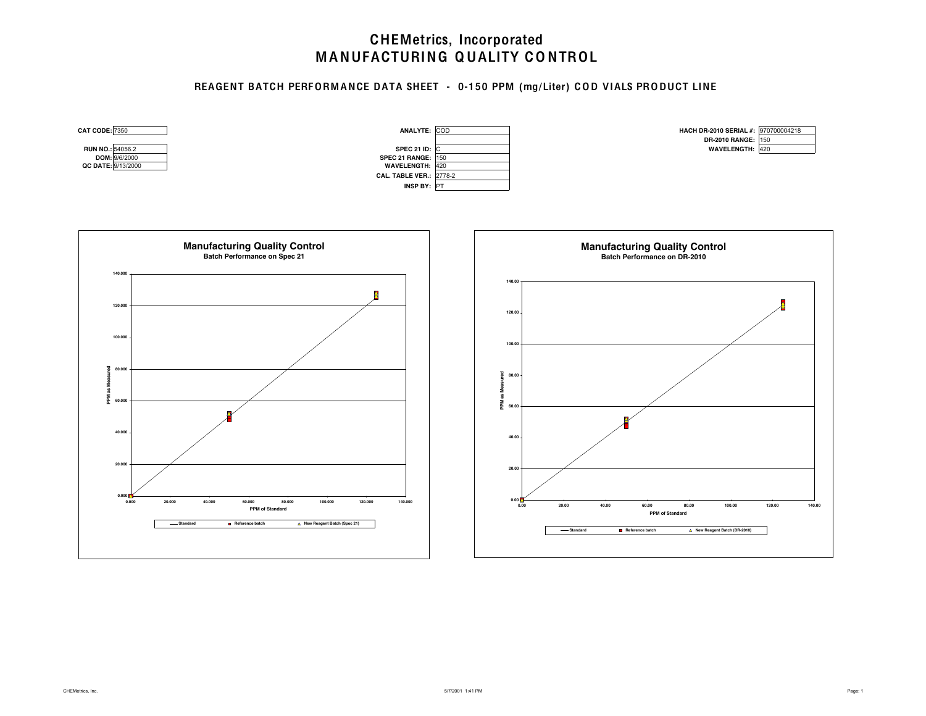### REAGENT BATCH PERFORMANCE DATA SHEET - 0-150 PPM (mg/Liter) COD VIALS PRODUCT LINE

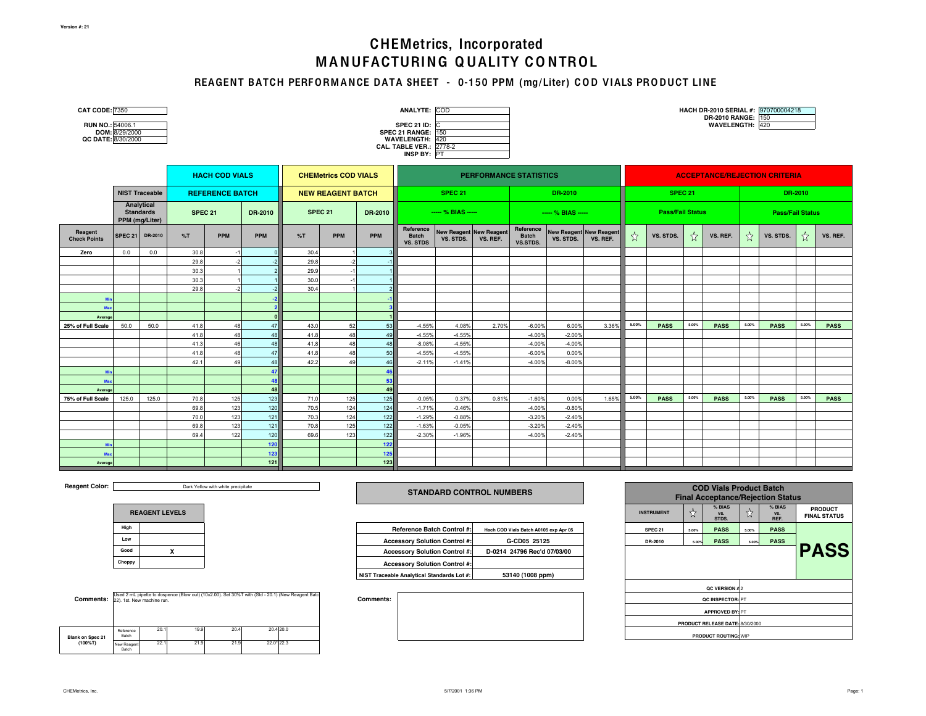### REAGENT BATCH PERFORMANCE DATA SHEET - 0-150 PPM (mg/Liter) COD VIALS PRODUCT LINE

| CAT CODE: 7350<br>RUN NO.: 54006.1<br>QC DATE: 8/30/2000 | DOM: 8/29/2000               |                       |              |                        |            |              |                             |            | ANALYTE: COD<br>SPEC 21 ID: $\overline{C}$<br><b>SPEC 21 RANGE: 150</b><br><b>WAVELENGTH: 420</b><br>CAL. TABLE VER.: 2778-2<br>INSP BY: PT |                                             |                               |                                       |                                             |          |       |                         |       | DR-2010 RANGE: 150<br>WAVELENGTH: 420 |       | HACH DR-2010 SERIAL #: 970700004218  |         |             |
|----------------------------------------------------------|------------------------------|-----------------------|--------------|------------------------|------------|--------------|-----------------------------|------------|---------------------------------------------------------------------------------------------------------------------------------------------|---------------------------------------------|-------------------------------|---------------------------------------|---------------------------------------------|----------|-------|-------------------------|-------|---------------------------------------|-------|--------------------------------------|---------|-------------|
|                                                          |                              |                       |              | <b>HACH COD VIALS</b>  |            |              | <b>CHEMetrics COD VIALS</b> |            |                                                                                                                                             |                                             | <b>PERFORMANCE STATISTICS</b> |                                       |                                             |          |       |                         |       |                                       |       | <b>ACCEPTANCE/REJECTION CRITERIA</b> |         |             |
|                                                          |                              | <b>NIST Traceable</b> |              | <b>REFERENCE BATCH</b> |            |              | <b>NEW REAGENT BATCH</b>    |            |                                                                                                                                             | <b>SPEC 21</b>                              |                               |                                       | DR-2010                                     |          |       | <b>SPEC 21</b>          |       |                                       |       |                                      | DR-2010 |             |
|                                                          | Analytical<br>PPM (mg/Liter) | <b>Standards</b>      | SPEC 21      |                        | DR-2010    | SPEC 21      |                             | DR-2010    |                                                                                                                                             | $--- % BIAS ---$                            |                               |                                       | $--- % BIAS ---$                            |          |       | <b>Pass/Fail Status</b> |       |                                       |       | <b>Pass/Fail Status</b>              |         |             |
| Reagent<br><b>Check Points</b>                           | <b>SPEC 21</b>               | DR-2010               | %T           | <b>PPM</b>             | <b>PPM</b> | %T           | <b>PPM</b>                  | <b>PPM</b> | Reference<br><b>Batch</b><br><b>VS. STDS</b>                                                                                                | <b>New Reagent New Reagent</b><br>VS. STDS. | VS. REF.                      | Reference<br><b>Batch</b><br>VS.STDS. | <b>New Reagent New Reagent</b><br>VS. STDS. | VS. REF. | ☆     | VS. STDS.               | ☆     | VS. REF.                              | ☆     | VS. STDS.                            | ☆       | VS. REF.    |
| Zero                                                     | 0.0                          | 0.0                   | 30.8         | $-1$                   |            | 30.4         |                             |            |                                                                                                                                             |                                             |                               |                                       |                                             |          |       |                         |       |                                       |       |                                      |         |             |
|                                                          |                              |                       | 29.8         | $-2$                   |            | 29.8         | $-2$                        |            |                                                                                                                                             |                                             |                               |                                       |                                             |          |       |                         |       |                                       |       |                                      |         |             |
|                                                          |                              |                       | 30.3         |                        |            | 29.9         | $-1$                        |            |                                                                                                                                             |                                             |                               |                                       |                                             |          |       |                         |       |                                       |       |                                      |         |             |
|                                                          |                              |                       | 30.3         |                        |            | 30.0         |                             |            |                                                                                                                                             |                                             |                               |                                       |                                             |          |       |                         |       |                                       |       |                                      |         |             |
|                                                          |                              |                       | 29.8         | $-2$                   |            | 30.4         |                             |            |                                                                                                                                             |                                             |                               |                                       |                                             |          |       |                         |       |                                       |       |                                      |         |             |
|                                                          |                              |                       |              |                        |            |              |                             |            |                                                                                                                                             |                                             |                               |                                       |                                             |          |       |                         |       |                                       |       |                                      |         |             |
| Max                                                      |                              |                       |              |                        |            |              |                             |            |                                                                                                                                             |                                             |                               |                                       |                                             |          |       |                         |       |                                       |       |                                      |         |             |
| Average<br>25% of Full Scale                             | 50.0                         | 50.0                  | 41.8         | 48                     | 47         | 43.0         | 52                          | 53         | $-4.55%$                                                                                                                                    | 4.08%                                       | 2.70%                         | $-6.00%$                              | 6.00%                                       | 3.36%    | 5.00% | <b>PASS</b>             | 5.00% | <b>PASS</b>                           | 5.00% | <b>PASS</b>                          | 5.00%   | <b>PASS</b> |
|                                                          |                              |                       | 41.8         | 48                     | 48         | 41.8         | 48                          | 49         | $-4.55%$                                                                                                                                    | $-4.55%$                                    |                               | $-4.00%$                              | $-2.00%$                                    |          |       |                         |       |                                       |       |                                      |         |             |
|                                                          |                              |                       | 41.3         | 46                     | 48         | 41.8         | 48                          | 48         | $-8.08%$                                                                                                                                    | $-4.55%$                                    |                               | $-4.00%$                              | $-4.00%$                                    |          |       |                         |       |                                       |       |                                      |         |             |
|                                                          |                              |                       | 41.8         | 48                     | 47         | 41.8         | 48                          | 50         | $-4.55%$                                                                                                                                    | $-4.55%$                                    |                               | $-6.00%$                              | 0.00%                                       |          |       |                         |       |                                       |       |                                      |         |             |
|                                                          |                              |                       | 42.1         | 49                     | 48         | 42.2         | 49                          | 46         | $-2.11%$                                                                                                                                    | $-1.41%$                                    |                               | $-4.00%$                              | $-8.00%$                                    |          |       |                         |       |                                       |       |                                      |         |             |
|                                                          |                              |                       |              |                        | 47         |              |                             | 46         |                                                                                                                                             |                                             |                               |                                       |                                             |          |       |                         |       |                                       |       |                                      |         |             |
| Mo                                                       |                              |                       |              |                        | 48         |              |                             | 53         |                                                                                                                                             |                                             |                               |                                       |                                             |          |       |                         |       |                                       |       |                                      |         |             |
| Average                                                  |                              |                       |              |                        | 48         |              |                             | 49         |                                                                                                                                             |                                             |                               |                                       |                                             |          |       |                         |       |                                       |       |                                      |         |             |
| 75% of Full Scale                                        | 125.0                        | 125.0                 | 70.8         | 125                    | 123        | 71.0         | 125                         | 125        | $-0.05%$                                                                                                                                    | 0.37%                                       | 0.81%                         | $-1.60%$                              | 0.00%                                       | 1.65%    | 5.00% | <b>PASS</b>             | 5.00% | <b>PASS</b>                           | 5.00% | <b>PASS</b>                          | 5.00%   | <b>PASS</b> |
|                                                          |                              |                       | 69.8         | 123                    | 120        | 70.5         | 124                         | 124        | $-1.71%$                                                                                                                                    | $-0.46%$                                    |                               | $-4.00%$                              | $-0.80%$                                    |          |       |                         |       |                                       |       |                                      |         |             |
|                                                          |                              |                       | 70.0<br>69.8 | 123<br>123             | 121<br>121 | 70.3<br>70.8 | 124<br>125                  | 122<br>122 | $-1.29%$<br>$-1.63%$                                                                                                                        | $-0.88%$<br>$-0.05%$                        |                               | $-3.20%$<br>$-3.20%$                  | $-2.40%$<br>$-2.40%$                        |          |       |                         |       |                                       |       |                                      |         |             |
|                                                          |                              |                       | 69.4         | 122                    | 120        | 69.6         | 123                         | 122        | $-2.30%$                                                                                                                                    | $-1.96%$                                    |                               | $-4.00%$                              | $-2.40%$                                    |          |       |                         |       |                                       |       |                                      |         |             |
|                                                          |                              |                       |              |                        | 120        |              |                             | 122        |                                                                                                                                             |                                             |                               |                                       |                                             |          |       |                         |       |                                       |       |                                      |         |             |
| Max                                                      |                              |                       |              |                        | 123        |              |                             | 125        |                                                                                                                                             |                                             |                               |                                       |                                             |          |       |                         |       |                                       |       |                                      |         |             |
| Average                                                  |                              |                       |              |                        | 121        |              |                             | 123        |                                                                                                                                             |                                             |                               |                                       |                                             |          |       |                         |       |                                       |       |                                      |         |             |

**Reagent Color:** 

Dark Yellow with white precipitate

|        | <b>REAGENT LEVELS</b> |
|--------|-----------------------|
| High   |                       |
| Low    |                       |
| Good   |                       |
| Choppy |                       |

| <b>Comments:</b> 22). 1st. New machine run. |                      |      |      |      |            | Used 2 mL pipette to dospence (Blow out) (10x2.00). Set 30%T with (Std - 20.1) (New Reagent Batc | <b>Comments:</b> |
|---------------------------------------------|----------------------|------|------|------|------------|--------------------------------------------------------------------------------------------------|------------------|
| <b>Blank on Spec 21</b>                     | Reference<br>Batch   | 20.1 | 19.9 | 20.4 |            | 20.4 20.0                                                                                        |                  |
| $(100\%T)$                                  | New Reagent<br>Batch | 22.1 | 21.9 | 21.9 | 22.0* 22.3 |                                                                                                  |                  |

#### **STANDARD CONTROL NUMBERS**

| High  |  | Reference Batch Control #:                 | Hach COD Vials Batch A0105 exp Apr 05 | SPEC <sub>21</sub> | 5.00% | <b>PASS</b> | 5.00% | <b>PASS</b> |
|-------|--|--------------------------------------------|---------------------------------------|--------------------|-------|-------------|-------|-------------|
| Low   |  | <b>Accessory Solution Control #:</b>       | G-CD05 25125                          | DR-2010            | 5.00% | <b>PASS</b> | 5.00% | <b>PASS</b> |
| Good  |  | <b>Accessory Solution Control #:</b>       | D-0214 24796 Rec'd 07/03/00           |                    |       |             |       |             |
| hoppy |  | <b>Accessory Solution Control #:</b>       |                                       |                    |       |             |       |             |
|       |  | NIST Traceable Analytical Standards Lot #: | 53140 (1008 ppm)                      |                    |       |             |       |             |

| <b>INSTRUMENT</b>  | ☆     | $%$ BIAS<br>VS.<br>STDS.        | ☆     | $%$ BIAS<br>VS.<br>REF. | <b>PRODUCT</b><br><b>FINAL STATUS</b> |
|--------------------|-------|---------------------------------|-------|-------------------------|---------------------------------------|
| SPEC <sub>21</sub> | 5.00% | <b>PASS</b>                     | 5.00% | <b>PASS</b>             |                                       |
| DR-2010            | 5.00% | <b>PASS</b>                     | 5.00% | <b>PASS</b>             |                                       |
|                    |       |                                 |       |                         | <b>PASS</b>                           |
|                    |       |                                 |       |                         |                                       |
|                    |       | QC VERSION #2                   |       |                         |                                       |
|                    |       | QC INSPECTOR: PT                |       |                         |                                       |
|                    |       | <b>APPROVED BY: PT</b>          |       |                         |                                       |
|                    |       | PRODUCT RELEASE DATE: 8/30/2000 |       |                         |                                       |
|                    |       | <b>PRODUCT ROUTING: WIP</b>     |       |                         |                                       |

**COD Vials Product Batch Final Acceptance/Rejection Status**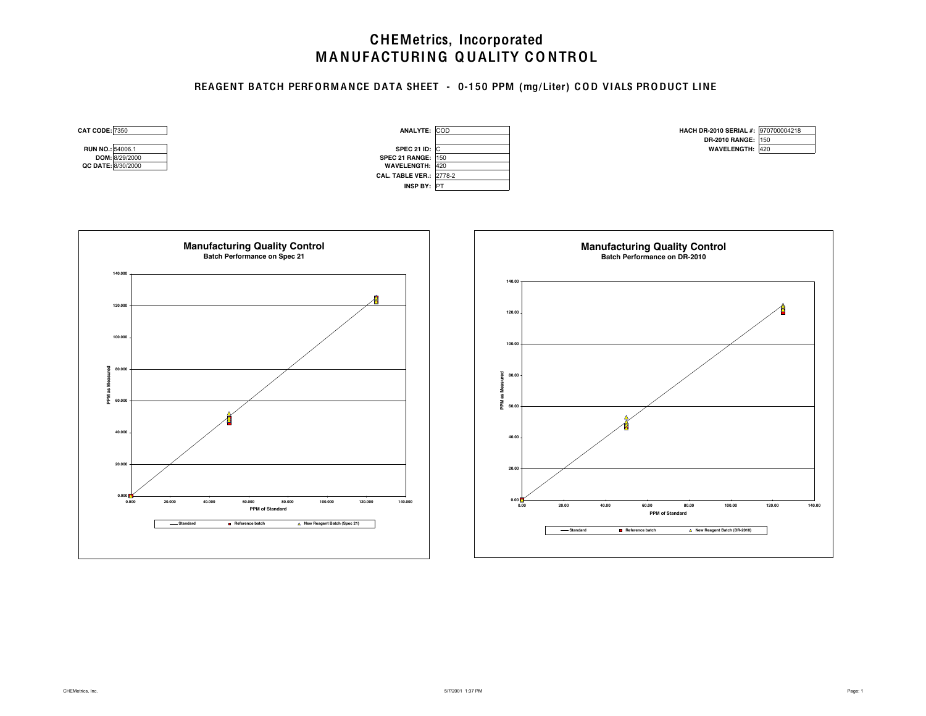### REAGENT BATCH PERFORMANCE DATA SHEET - 0-150 PPM (mg/Liter) COD VIALS PRODUCT LINE

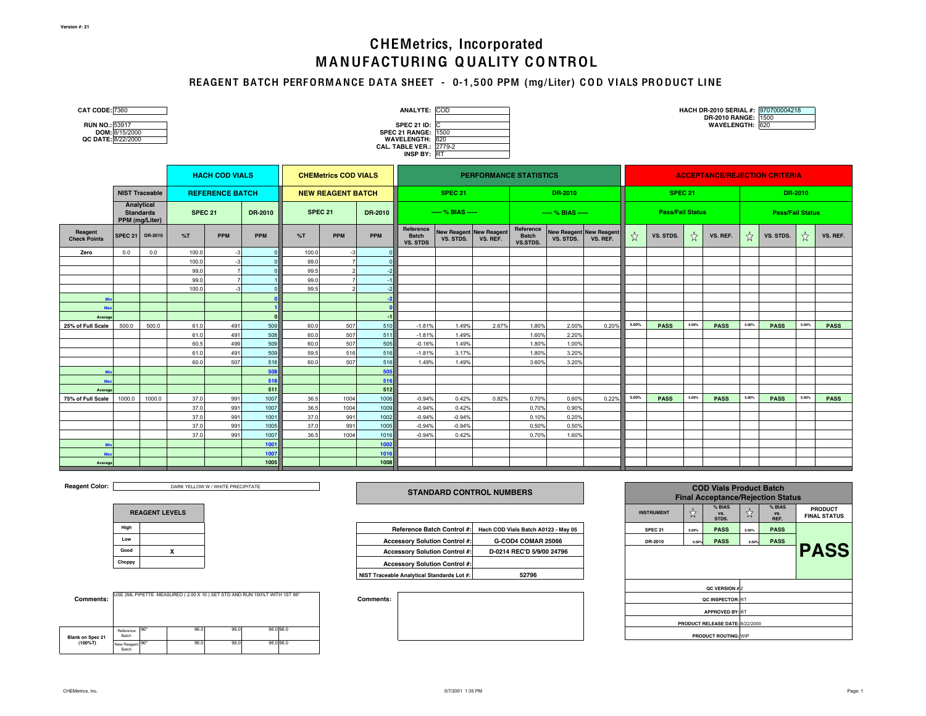# MANUFACTURING QUALITY CONTROL CHEMetrics, Incorporated

### REAGENT BATCH PERFORMANCE DATA SHEET - 0-1,500 PPM (mg/Liter) COD VIALS PRODUCT LINE

| CAT CODE: 7360<br>RUN NO.: 53917<br>QC DATE: 8/22/2000 | DOM: 8/15/2000 |                                                  |                |                        |            |                    |                             |            | ANALYTE: COD<br><b>SPEC 21 ID:</b><br><b>SPEC 21 RANGE: 1500</b><br><b>WAVELENGTH:</b><br><b>CAL. TABLE VER.: 2779-2</b><br>INSP BY: RT | IC<br>620                                   |                               |                                       |                                             |          |       |                         |       | HACH DR-2010 SERIAL #: 970700004218<br>DR-2010 RANGE: 1500<br>WAVELENGTH: 620 |       |                         |         |             |
|--------------------------------------------------------|----------------|--------------------------------------------------|----------------|------------------------|------------|--------------------|-----------------------------|------------|-----------------------------------------------------------------------------------------------------------------------------------------|---------------------------------------------|-------------------------------|---------------------------------------|---------------------------------------------|----------|-------|-------------------------|-------|-------------------------------------------------------------------------------|-------|-------------------------|---------|-------------|
|                                                        |                |                                                  |                | <b>HACH COD VIALS</b>  |            |                    | <b>CHEMetrics COD VIALS</b> |            |                                                                                                                                         |                                             | <b>PERFORMANCE STATISTICS</b> |                                       |                                             |          |       |                         |       | <b>ACCEPTANCE/REJECTION CRITERIA</b>                                          |       |                         |         |             |
|                                                        |                | <b>NIST Traceable</b>                            |                | <b>REFERENCE BATCH</b> |            |                    | <b>NEW REAGENT BATCH</b>    |            |                                                                                                                                         | <b>SPEC 21</b>                              |                               |                                       | DR-2010                                     |          |       | <b>SPEC 21</b>          |       |                                                                               |       |                         | DR-2010 |             |
|                                                        |                | Analytical<br><b>Standards</b><br>PPM (mg/Liter) | <b>SPEC 21</b> |                        | DR-2010    | SPEC <sub>21</sub> |                             | DR-2010    |                                                                                                                                         | $--$ % BIAS $--$                            |                               |                                       | $-- % BIAS ---$                             |          |       | <b>Pass/Fail Status</b> |       |                                                                               |       | <b>Pass/Fail Status</b> |         |             |
| Reagent<br><b>Check Points</b>                         | <b>SPEC 21</b> | DR-2010                                          | %T             | <b>PPM</b>             | <b>PPM</b> | %T                 | <b>PPM</b>                  | PPM        | Reference<br><b>Batch</b><br><b>VS. STDS</b>                                                                                            | <b>New Reagent New Reagent</b><br>VS. STDS. | VS. REF.                      | Reference<br><b>Batch</b><br>VS.STDS. | <b>New Reagent New Reagent</b><br>VS. STDS. | VS. REF. | ☆     | VS. STDS.               | ☆     | VS. REF.                                                                      | ☆     | VS. STDS.               | ☆       | VS. REF.    |
| Zero                                                   | 0.0            | 0.0                                              | 100.0          | $-3$                   |            | 100.0              | $-3$                        |            |                                                                                                                                         |                                             |                               |                                       |                                             |          |       |                         |       |                                                                               |       |                         |         |             |
|                                                        |                |                                                  | 100.0          | $-3$                   |            | 99.0               | $\overline{7}$              |            |                                                                                                                                         |                                             |                               |                                       |                                             |          |       |                         |       |                                                                               |       |                         |         |             |
|                                                        |                |                                                  | 99.0           | $\overline{7}$         |            | 99.5               | $\overline{2}$              | $-2$       |                                                                                                                                         |                                             |                               |                                       |                                             |          |       |                         |       |                                                                               |       |                         |         |             |
|                                                        |                |                                                  | 99.0           | $\overline{7}$         |            | 99.0               |                             |            |                                                                                                                                         |                                             |                               |                                       |                                             |          |       |                         |       |                                                                               |       |                         |         |             |
|                                                        |                |                                                  | 100.0          | $-3$                   |            | 99.5               |                             | $-2$       |                                                                                                                                         |                                             |                               |                                       |                                             |          |       |                         |       |                                                                               |       |                         |         |             |
|                                                        |                |                                                  |                |                        |            |                    |                             | $-2$       |                                                                                                                                         |                                             |                               |                                       |                                             |          |       |                         |       |                                                                               |       |                         |         |             |
| Ma                                                     |                |                                                  |                |                        |            |                    |                             |            |                                                                                                                                         |                                             |                               |                                       |                                             |          |       |                         |       |                                                                               |       |                         |         |             |
| Average                                                |                |                                                  |                |                        |            |                    |                             | $-1$       |                                                                                                                                         |                                             |                               |                                       |                                             |          | 5.00% |                         | 5.00% |                                                                               | 5.00% |                         | 5.00%   |             |
| 25% of Full Scale                                      | 500.0          | 500.0                                            | 61.0<br>61.0   | 491<br>491             | 509<br>508 | 60.0<br>60.0       | 507<br>507                  | 510<br>511 | $-1.81%$<br>$-1.81%$                                                                                                                    | 1.49%<br>1.49%                              | 2.67%                         | 1.80%<br>1.60%                        | 2.00%<br>2.20%                              | 0.20%    |       | <b>PASS</b>             |       | <b>PASS</b>                                                                   |       | <b>PASS</b>             |         | <b>PASS</b> |
|                                                        |                |                                                  | 60.5           | 499                    | 509        | 60.0               | 507                         | 505        | $-0.16%$                                                                                                                                | 1.49%                                       |                               | 1.80%                                 | 1.00%                                       |          |       |                         |       |                                                                               |       |                         |         |             |
|                                                        |                |                                                  | 61.0           | 491                    | 509        | 59.5               | 516                         | 516        | $-1.81%$                                                                                                                                | 3.17%                                       |                               | 1.80%                                 | 3.20%                                       |          |       |                         |       |                                                                               |       |                         |         |             |
|                                                        |                |                                                  | 60.0           | 507                    | 518        | 60.0               | 507                         | 516        | 1.49%                                                                                                                                   | 1.49%                                       |                               | 3.60%                                 | 3.20%                                       |          |       |                         |       |                                                                               |       |                         |         |             |
|                                                        |                |                                                  |                |                        | 508        |                    |                             | 505        |                                                                                                                                         |                                             |                               |                                       |                                             |          |       |                         |       |                                                                               |       |                         |         |             |
| Mo                                                     |                |                                                  |                |                        | 518        |                    |                             | 516        |                                                                                                                                         |                                             |                               |                                       |                                             |          |       |                         |       |                                                                               |       |                         |         |             |
| Average                                                |                |                                                  |                |                        | 511        |                    |                             | 512        |                                                                                                                                         |                                             |                               |                                       |                                             |          |       |                         |       |                                                                               |       |                         |         |             |
| 75% of Full Scale                                      | 1000.0         | 1000.0                                           | 37.0           | 991                    | 1007       | 36.5               | 1004                        | 1006       | $-0.94%$                                                                                                                                | 0.42%                                       | 0.82%                         | 0.70%                                 | 0.60%                                       | 0.22%    | 5.00% | <b>PASS</b>             | 5.00% | <b>PASS</b>                                                                   | 5.00% | <b>PASS</b>             | 5.00%   | <b>PASS</b> |
|                                                        |                |                                                  | 37.0           | 991                    | 1007       | 36.5               | 1004                        | 1009       | $-0.94%$                                                                                                                                | 0.42%                                       |                               | 0.70%                                 | 0.90%                                       |          |       |                         |       |                                                                               |       |                         |         |             |
|                                                        |                |                                                  | 37.0           | 991                    | 1001       | 37.0               | 991                         | 1002       | $-0.94%$                                                                                                                                | $-0.94%$                                    |                               | 0.10%                                 | 0.20%                                       |          |       |                         |       |                                                                               |       |                         |         |             |
|                                                        |                |                                                  | 37.0           | 991                    | 1005       | 37.0               | 991                         | 1005       | $-0.94%$                                                                                                                                | $-0.94%$                                    |                               | 0.50%                                 | 0.50%                                       |          |       |                         |       |                                                                               |       |                         |         |             |
|                                                        |                |                                                  | 37.0           | 991                    | 1007       | 36.5               | 1004                        | 1016       | $-0.94%$                                                                                                                                | 0.42%                                       |                               | 0.70%                                 | 1.60%                                       |          |       |                         |       |                                                                               |       |                         |         |             |
|                                                        |                |                                                  |                |                        | 1001       |                    |                             | 1002       |                                                                                                                                         |                                             |                               |                                       |                                             |          |       |                         |       |                                                                               |       |                         |         |             |
| Ma                                                     |                |                                                  |                |                        | 1007       |                    |                             | 1016       |                                                                                                                                         |                                             |                               |                                       |                                             |          |       |                         |       |                                                                               |       |                         |         |             |
| Average                                                |                |                                                  |                |                        | 1005       |                    |                             | 1008       |                                                                                                                                         |                                             |                               |                                       |                                             |          |       |                         |       |                                                                               |       |                         |         |             |

**Reagent Color:** 

DARK YELLOW W / WHITE PRECIPITATE

|        | <b>REAGENT LEVELS</b> |
|--------|-----------------------|
| High   |                       |
| Low    |                       |
| Good   | x                     |
| Choppy |                       |

| <b>Comments:</b>        |                          |     | USE 2ML PIPETTE MEASURED (2.00 X 10) SET STD AND RUN 100%T WITH 1ST 96* |      |           |
|-------------------------|--------------------------|-----|-------------------------------------------------------------------------|------|-----------|
|                         |                          |     |                                                                         |      |           |
| <b>Blank on Spec 21</b> | Reference<br>Batch       | 96* | 96.0                                                                    | 96.0 | 96.0 96.0 |
| $(100\%T)$              | New Reagent 96*<br>Batch |     | 96.0                                                                    | 96.0 | 96.0 96.0 |

**STANDARD CONTROL NUMBERS**

| Hiah  |  |                                            | Reference Batch Control #: Hach COD Vials Batch A0123 - May 05 | SPEC <sub>21</sub> | 5.00% | <b>PASS</b> | 5.00% | <b>PASS</b> |
|-------|--|--------------------------------------------|----------------------------------------------------------------|--------------------|-------|-------------|-------|-------------|
| Low   |  | <b>Accessory Solution Control #:</b>       | G-COD4 COMAR 25066                                             | DR-2010            | 5.00% | <b>PASS</b> | 5.00% | <b>PASS</b> |
| Good  |  | <b>Accessory Solution Control #:</b>       | D-0214 REC'D 5/9/00 24796                                      |                    |       |             |       |             |
| hoppy |  | <b>Accessory Solution Control #:</b>       |                                                                |                    |       |             |       |             |
|       |  | NIST Traceable Analytical Standards Lot #: | 52796                                                          |                    |       |             |       |             |

| $1.1417120000$ profits 0.110   1 |       |                                 |       |                       |                                       |  |  |  |  |  |  |
|----------------------------------|-------|---------------------------------|-------|-----------------------|---------------------------------------|--|--|--|--|--|--|
| <b>INSTRUMENT</b>                | វវ    | % BIAS<br>VS.<br>STDS.          | វ     | % BIAS<br>VS.<br>REF. | <b>PRODUCT</b><br><b>FINAL STATUS</b> |  |  |  |  |  |  |
| SPEC <sub>21</sub>               | 5.00% | <b>PASS</b>                     | 5.00% | <b>PASS</b>           |                                       |  |  |  |  |  |  |
| DR-2010                          | 5.00% | <b>PASS</b>                     | 5.00% | <b>PASS</b>           |                                       |  |  |  |  |  |  |
| <b>PASS</b>                      |       |                                 |       |                       |                                       |  |  |  |  |  |  |
|                                  |       | QC VERSION #2                   |       |                       |                                       |  |  |  |  |  |  |
|                                  |       | QC INSPECTOR: RT                |       |                       |                                       |  |  |  |  |  |  |
|                                  |       | <b>APPROVED BY: RT</b>          |       |                       |                                       |  |  |  |  |  |  |
|                                  |       | PRODUCT RELEASE DATE: 8/22/2000 |       |                       |                                       |  |  |  |  |  |  |
|                                  |       | <b>PRODUCT ROUTING: WIP</b>     |       |                       |                                       |  |  |  |  |  |  |

**COD Vials Product Batch Final Acceptance/Rejection Status**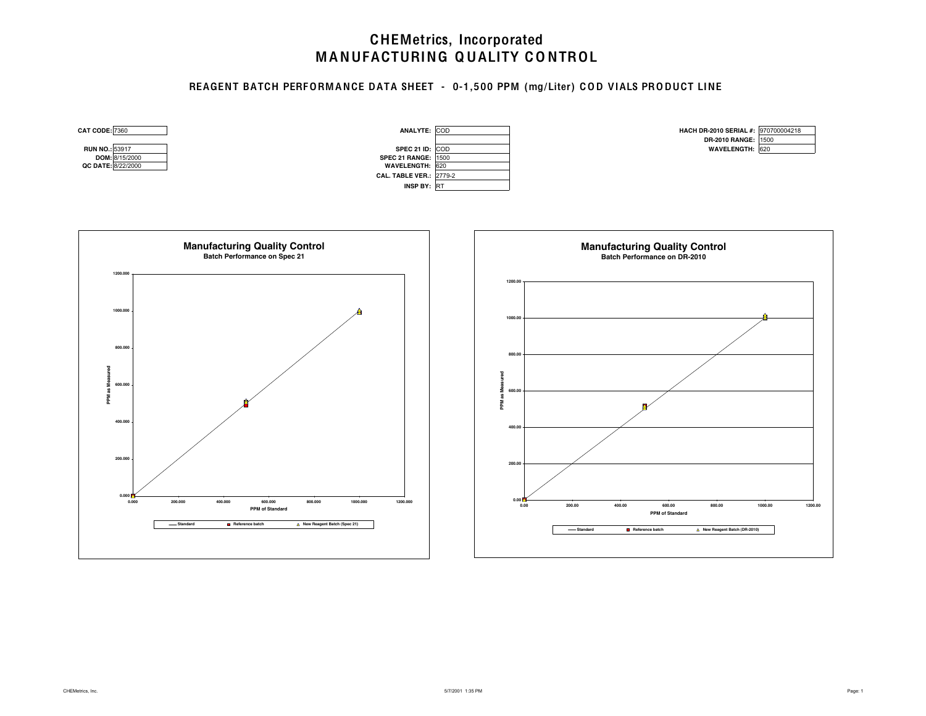### REAGENT BATCH PERFORM ANCE DATA SHEET - 0-1,500 PPM (mg/Liter) COD VIALS PRODUCT LINE

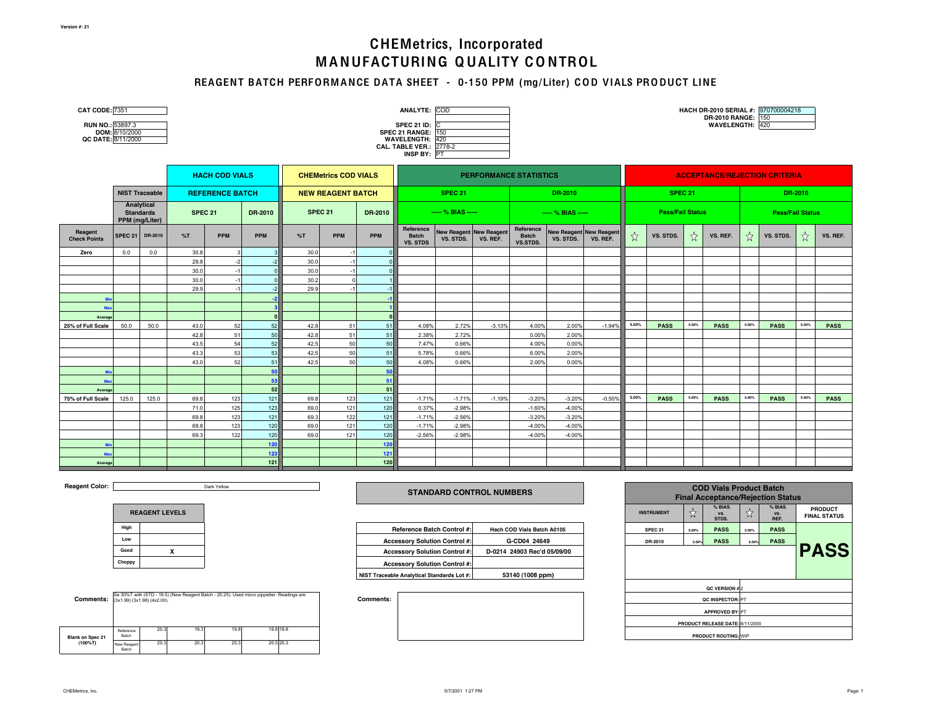### REAGENT BATCH PERFORMANCE DATA SHEET - 0-150 PPM (mg/Liter) COD VIALS PRODUCT LINE

| <b>CAT CODE: 7351</b><br>RUN NO.: 53897.3<br>DOM: 8/10/2000<br>QC DATE: 8/11/2000 |                       |                       |                        |            |            |                             |            |                | ANALYTE: COD<br><b>SPEC 21 ID: C</b><br><b>SPEC 21 RANGE: 150</b><br>WAVELENGTH: 420<br>CAL. TABLE VER.: 2778-2<br>INSP BY: PT |                                      |                  |                                       |                                             |                         |       |             |                         | DR-2010 RANGE: 150<br>WAVELENGTH: 420 |       | HACH DR-2010 SERIAL #: 970700004218 |       |             |
|-----------------------------------------------------------------------------------|-----------------------|-----------------------|------------------------|------------|------------|-----------------------------|------------|----------------|--------------------------------------------------------------------------------------------------------------------------------|--------------------------------------|------------------|---------------------------------------|---------------------------------------------|-------------------------|-------|-------------|-------------------------|---------------------------------------|-------|-------------------------------------|-------|-------------|
|                                                                                   | <b>HACH COD VIALS</b> |                       |                        |            |            | <b>CHEMetrics COD VIALS</b> |            |                | <b>PERFORMANCE STATISTICS</b>                                                                                                  |                                      |                  |                                       | <b>ACCEPTANCE/REJECTION CRITERIA</b>        |                         |       |             |                         |                                       |       |                                     |       |             |
|                                                                                   |                       | <b>NIST Traceable</b> | <b>REFERENCE BATCH</b> |            |            | <b>NEW REAGENT BATCH</b>    |            | <b>SPEC 21</b> |                                                                                                                                |                                      | DR-2010          |                                       | SPEC 21                                     |                         |       | DR-2010     |                         |                                       |       |                                     |       |             |
| Analytical<br><b>Standards</b><br>PPM (mg/Liter)                                  |                       |                       | <b>SPEC 21</b>         |            | DR-2010    | SPEC 21<br>DR-2010          |            |                | $--- % BIAS ---$                                                                                                               |                                      | $--- % BIAS ---$ |                                       |                                             | <b>Pass/Fail Status</b> |       |             | <b>Pass/Fail Status</b> |                                       |       |                                     |       |             |
| Reagent<br><b>Check Points</b>                                                    | <b>SPEC 21</b>        | DR-2010               | %T                     | <b>PPM</b> | <b>PPM</b> | %T                          | <b>PPM</b> | <b>PPM</b>     | Reference<br><b>Batch</b><br><b>VS. STDS</b>                                                                                   | New Reagent New Reagent<br>VS. STDS. | VS. REF.         | Reference<br><b>Batch</b><br>VS.STDS. | <b>New Reagent New Reagent</b><br>VS. STDS. | VS. REF.                | $x^4$ | VS. STDS.   | ☆                       | VS. REF.                              | ☆     | VS. STDS.                           | ☆     | VS. REF.    |
| Zero                                                                              | 0.0                   | 0.0                   | 30.8                   |            |            | 30.0                        |            |                |                                                                                                                                |                                      |                  |                                       |                                             |                         |       |             |                         |                                       |       |                                     |       |             |
|                                                                                   |                       |                       | 29.8                   | $-2$       |            | 30.0                        |            |                |                                                                                                                                |                                      |                  |                                       |                                             |                         |       |             |                         |                                       |       |                                     |       |             |
|                                                                                   |                       |                       | 30.0                   | $-1$       |            | 30.0                        |            |                |                                                                                                                                |                                      |                  |                                       |                                             |                         |       |             |                         |                                       |       |                                     |       |             |
|                                                                                   |                       |                       | 30.0                   | $-1$       |            | 30.2                        |            |                |                                                                                                                                |                                      |                  |                                       |                                             |                         |       |             |                         |                                       |       |                                     |       |             |
|                                                                                   |                       |                       | 29.9                   | $-1$       |            | 29.9                        |            |                |                                                                                                                                |                                      |                  |                                       |                                             |                         |       |             |                         |                                       |       |                                     |       |             |
|                                                                                   |                       |                       |                        |            |            |                             |            |                |                                                                                                                                |                                      |                  |                                       |                                             |                         |       |             |                         |                                       |       |                                     |       |             |
| Max                                                                               |                       |                       |                        |            |            |                             |            |                |                                                                                                                                |                                      |                  |                                       |                                             |                         |       |             |                         |                                       |       |                                     |       |             |
| Average                                                                           |                       |                       |                        |            |            |                             |            |                |                                                                                                                                |                                      |                  |                                       |                                             |                         | 5.00% |             |                         |                                       |       |                                     |       |             |
| 25% of Full Scale                                                                 | 50.0                  | 50.0                  | 43.0                   | 52         | 52         | 42.8                        | 51         | 51             | 4.08%                                                                                                                          | 2.72%                                | $-3.13%$         | 4.00%                                 | 2.00%                                       | $-1.94%$                |       | <b>PASS</b> | 5.00%                   | <b>PASS</b>                           | 5.00% | <b>PASS</b>                         | 5.00% | <b>PASS</b> |
|                                                                                   |                       |                       | 42.8                   | 51         | 50         | 42.8                        | 51         | 51             | 2.38%                                                                                                                          | 2.72%                                |                  | 0.00%                                 | 2.00%                                       |                         |       |             |                         |                                       |       |                                     |       |             |
|                                                                                   |                       |                       | 43.5<br>43.3           | 54<br>53   | 52<br>53   | 42.5<br>42.5                | 50<br>50   | 50<br>51       | 7.47%<br>5.78%                                                                                                                 | 0.66%<br>0.66%                       |                  | 4.00%<br>6.00%                        | 0.00%<br>2.00%                              |                         |       |             |                         |                                       |       |                                     |       |             |
|                                                                                   |                       |                       | 43.0                   | 52         | 51         | 42.5                        | 50         | 50             | 4.08%                                                                                                                          | 0.66%                                |                  | 2.00%                                 | 0.00%                                       |                         |       |             |                         |                                       |       |                                     |       |             |
|                                                                                   |                       |                       |                        |            | 50         |                             |            | 50             |                                                                                                                                |                                      |                  |                                       |                                             |                         |       |             |                         |                                       |       |                                     |       |             |
| Max                                                                               |                       |                       |                        |            | 53         |                             |            | 51             |                                                                                                                                |                                      |                  |                                       |                                             |                         |       |             |                         |                                       |       |                                     |       |             |
| Average                                                                           |                       |                       |                        |            | 52         |                             |            | 51             |                                                                                                                                |                                      |                  |                                       |                                             |                         |       |             |                         |                                       |       |                                     |       |             |
| 75% of Full Scale                                                                 | 125.0                 | 125.0                 | 69.8                   | 123        | 121        | 69.8                        | 123        | 121            | $-1.71%$                                                                                                                       | $-1.71%$                             | $-1.19%$         | $-3.20%$                              | $-3.20%$                                    | $-0.50%$                | 5.00% | <b>PASS</b> | 5.00%                   | <b>PASS</b>                           | 5.00% | <b>PASS</b>                         | 5.00% | <b>PASS</b> |
|                                                                                   |                       |                       | 71.0                   | 125        | 123        | 69.0                        | 121        | 120            | 0.37%                                                                                                                          | $-2.98%$                             |                  | $-1.60%$                              | $-4.00%$                                    |                         |       |             |                         |                                       |       |                                     |       |             |
|                                                                                   |                       |                       | 69.8                   | 123        | 121        | 69.3                        | 122        | 121            | $-1.71%$                                                                                                                       | $-2.56%$                             |                  | $-3.20%$                              | $-3.20%$                                    |                         |       |             |                         |                                       |       |                                     |       |             |
|                                                                                   |                       |                       | 69.8                   | 123        | 120        | 69.0                        | 121        | 120            | $-1.71%$                                                                                                                       | $-2.98%$                             |                  | $-4.00%$                              | $-4.00%$                                    |                         |       |             |                         |                                       |       |                                     |       |             |
|                                                                                   |                       |                       | 69.3                   | 122        | 120        | 69.0                        | 121        | 120            | $-2.56%$                                                                                                                       | $-2.98%$                             |                  | $-4.00%$                              | $-4.00%$                                    |                         |       |             |                         |                                       |       |                                     |       |             |
|                                                                                   |                       |                       |                        |            | 120        |                             |            | 120            |                                                                                                                                |                                      |                  |                                       |                                             |                         |       |             |                         |                                       |       |                                     |       |             |
| Max                                                                               |                       |                       |                        |            | 123        |                             |            | $121$          |                                                                                                                                |                                      |                  |                                       |                                             |                         |       |             |                         |                                       |       |                                     |       |             |
| Average                                                                           |                       |                       |                        |            | 121        |                             |            | 120            |                                                                                                                                |                                      |                  |                                       |                                             |                         |       |             |                         |                                       |       |                                     |       |             |

**Reagent Color:** 

Dark Yellow

| <b>REAGENT LEVELS</b> |  |  |  |  |  |  |  |  |
|-----------------------|--|--|--|--|--|--|--|--|
| High                  |  |  |  |  |  |  |  |  |
| Low                   |  |  |  |  |  |  |  |  |
| Good                  |  |  |  |  |  |  |  |  |
| Choppy                |  |  |  |  |  |  |  |  |

| <b>Comments:</b> $(3x1.99)(3x1.98)(4x2.00)$ . |                      |      |      | Se 30%T with (STD - 19.5) (New Reagent Batch - 20.25). Used micro pippetter. Readings are |           |
|-----------------------------------------------|----------------------|------|------|-------------------------------------------------------------------------------------------|-----------|
| <b>Blank on Spec 21</b>                       | Reference<br>Batch   | 20.3 | 19.3 | 19.8                                                                                      | 19.8 19.8 |
| $(100\%T)$                                    | New Reagent<br>Batch | 20.3 | 20.3 | 20.3                                                                                      | 20.5 20.3 |

#### **STANDARD CONTROL NUMBERS**

| High  |  | Reference Batch Control #:                 | <b>Hach COD Vials Batch A0105</b> | SPEC <sub>21</sub> | 5.00% | <b>PASS</b> | 5.00% | <b>PASS</b> |
|-------|--|--------------------------------------------|-----------------------------------|--------------------|-------|-------------|-------|-------------|
| Low   |  | <b>Accessory Solution Control #:</b>       | G-CD04 24649                      | DR-2010            | 5.00% | <b>PASS</b> | 5.00% | <b>PASS</b> |
| Good  |  | <b>Accessory Solution Control #:</b>       | D-0214 24903 Rec'd 05/09/00       |                    |       |             |       |             |
| hoppy |  | <b>Accessory Solution Control #:</b>       |                                   |                    |       |             |       |             |
|       |  | NIST Traceable Analytical Standards Lot #: | 53140 (1008 ppm)                  |                    |       |             |       |             |

| <b>INSTRUMENT</b>  | ☆           |                                 | ☆     | % BIAS<br>VS.<br>REF. | <b>PRODUCT</b><br><b>FINAL STATUS</b> |  |  |  |  |
|--------------------|-------------|---------------------------------|-------|-----------------------|---------------------------------------|--|--|--|--|
| SPEC <sub>21</sub> | 5.00%       | <b>PASS</b>                     | 5.00% | <b>PASS</b>           |                                       |  |  |  |  |
| DR-2010            | 5.00%       | <b>PASS</b>                     | 5.00% | <b>PASS</b>           |                                       |  |  |  |  |
|                    | <b>PASS</b> |                                 |       |                       |                                       |  |  |  |  |
|                    |             | QC VERSION #2                   |       |                       |                                       |  |  |  |  |
|                    |             | QC INSPECTOR: PT                |       |                       |                                       |  |  |  |  |
|                    |             | <b>APPROVED BY: PT</b>          |       |                       |                                       |  |  |  |  |
|                    |             | PRODUCT RELEASE DATE: 8/11/2000 |       |                       |                                       |  |  |  |  |
|                    |             | <b>PRODUCT ROUTING: WIP</b>     |       |                       |                                       |  |  |  |  |

**COD Vials Product Batch Final Acceptance/Rejection Status**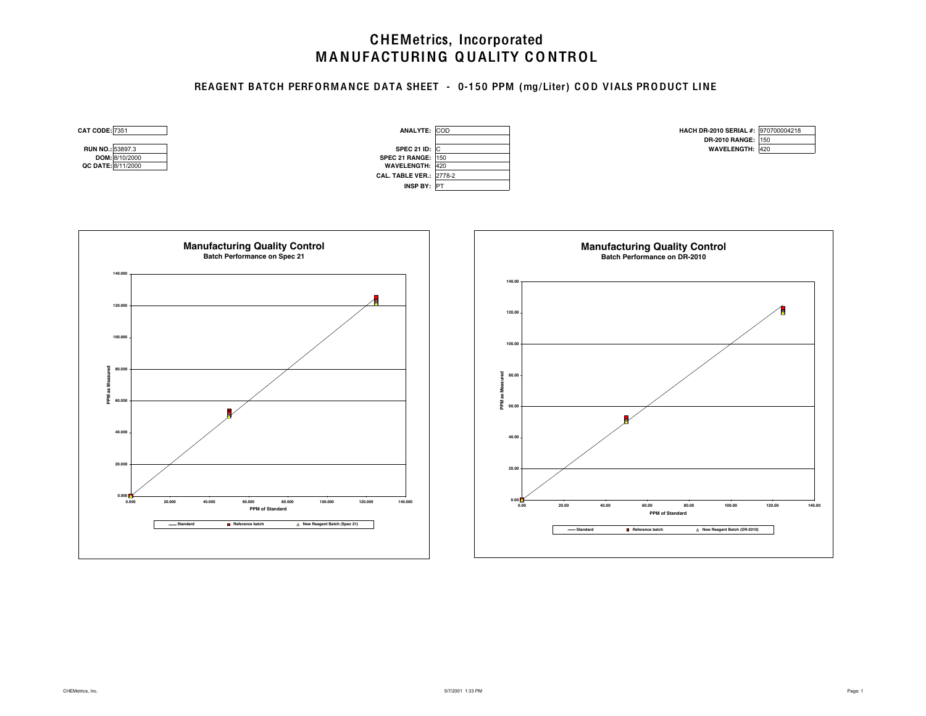### REAGENT BATCH PERFORMANCE DATA SHEET - 0-150 PPM (mg/Liter) COD VIALS PRODUCT LINE